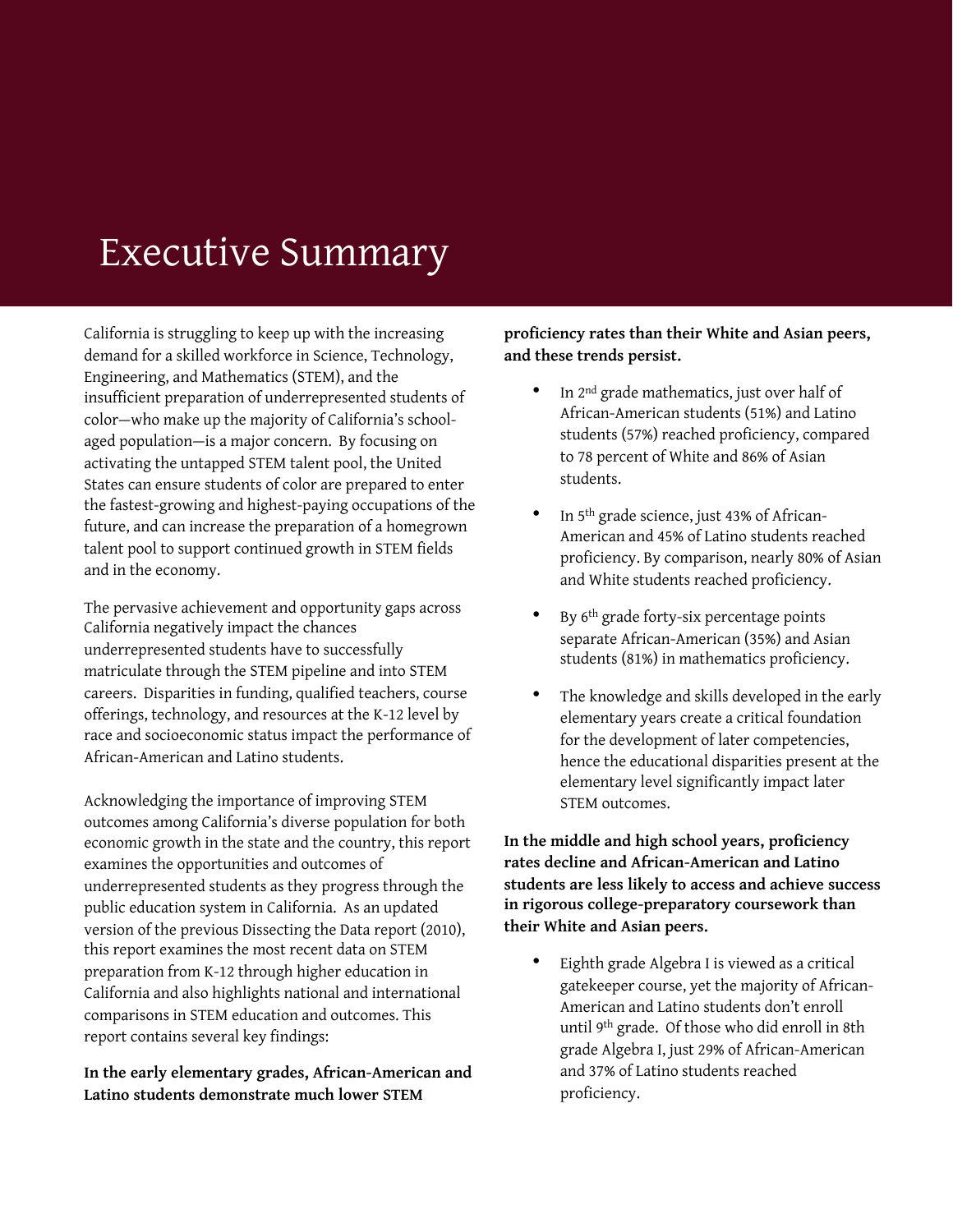## Executive Summary

California is struggling to keep up with the increasing demand for a skilled workforce in Science, Technology, Engineering, and Mathematics (STEM), and the insufficient preparation of underrepresented students of color—who make up the majority of California's schoolaged population—is a major concern. By focusing on activating the untapped STEM talent pool, the United States can ensure students of color are prepared to enter the fastest-growing and highest-paying occupations of the future, and can increase the preparation of a homegrown talent pool to support continued growth in STEM fields and in the economy.

The pervasive achievement and opportunity gaps across California negatively impact the chances underrepresented students have to successfully matriculate through the STEM pipeline and into STEM careers. Disparities in funding, qualified teachers, course offerings, technology, and resources at the K-12 level by race and socioeconomic status impact the performance of African-American and Latino students.

Acknowledging the importance of improving STEM outcomes among California's diverse population for both economic growth in the state and the country, this report examines the opportunities and outcomes of underrepresented students as they progress through the public education system in California. As an updated version of the previous Dissecting the Data report (2010), this report examines the most recent data on STEM preparation from K-12 through higher education in California and also highlights national and international comparisons in STEM education and outcomes. This report contains several key findings:

**In the early elementary grades, African-American and Latino students demonstrate much lower STEM** 

## **proficiency rates than their White and Asian peers, and these trends persist.**

- In 2<sup>nd</sup> grade mathematics, just over half of African-American students (51%) and Latino students (57%) reached proficiency, compared to 78 percent of White and 86% of Asian students.
- In 5<sup>th</sup> grade science, just 43% of African-American and 45% of Latino students reached proficiency. By comparison, nearly 80% of Asian and White students reached proficiency.
- By 6<sup>th</sup> grade forty-six percentage points separate African-American (35%) and Asian students (81%) in mathematics proficiency.
- The knowledge and skills developed in the early elementary years create a critical foundation for the development of later competencies, hence the educational disparities present at the elementary level significantly impact later STEM outcomes.

**In the middle and high school years, proficiency rates decline and African-American and Latino students are less likely to access and achieve success in rigorous college-preparatory coursework than their White and Asian peers.** 

Eighth grade Algebra I is viewed as a critical gatekeeper course, yet the majority of African-American and Latino students don't enroll until 9th grade. Of those who did enroll in 8th grade Algebra I, just 29% of African-American and 37% of Latino students reached proficiency.